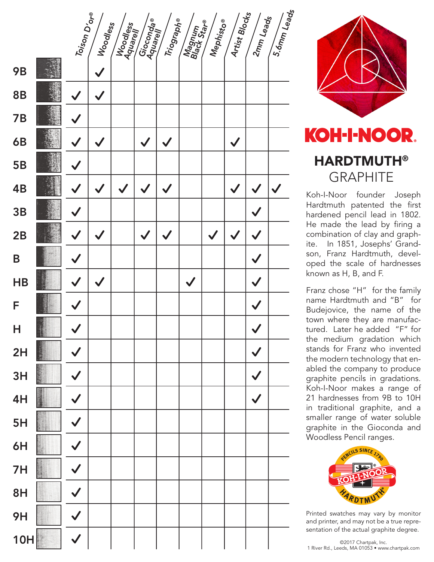



## HARDTMUTH® **GRAPHITE**

Koh-I-Noor founder Joseph Hardtmuth patented the first hardened pencil lead in 1802. He made the lead by firing a combination of clay and graphite. In 1851, Josephs' Grandson, Franz Hardtmuth, developed the scale of hardnesses known as H, B, and F.

Franz chose "H" for the family name Hardtmuth and "B" for Budejovice, the name of the town where they are manufactured. Later he added "F" for the medium gradation which stands for Franz who invented the modern technology that enabled the company to produce graphite pencils in gradations. Koh-I-Noor makes a range of 21 hardnesses from 9B to 10H in traditional graphite, and a smaller range of water soluble graphite in the Gioconda and Woodless Pencil ranges.



Printed swatches may vary by monitor and printer, and may not be a true representation of the actual graphite degree.